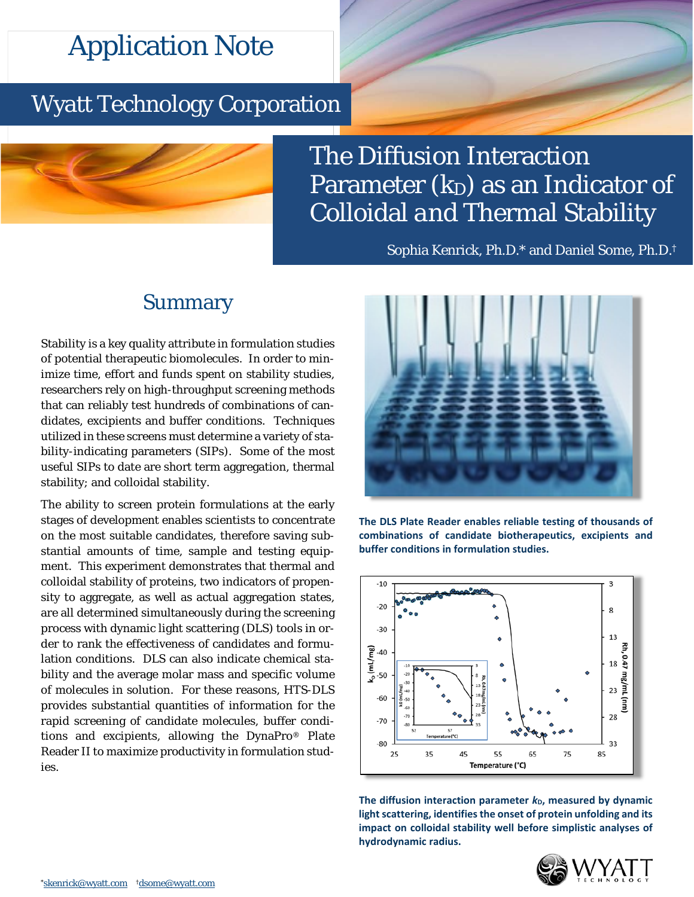# Application Note

## Wyatt Technology Corporation



The Diffusion Interaction Parameter (*k*<sub>D</sub>) as an Indicator of Colloidal *and* Thermal Stability

Sophia Kenrick, Ph.D.\* and Daniel Some, Ph.D.†

## Summary

Stability is a key quality attribute in formulation studies of potential therapeutic biomolecules. In order to minimize time, effort and funds spent on stability studies, researchers rely on high-throughput screening methods that can reliably test hundreds of combinations of candidates, excipients and buffer conditions. Techniques utilized in these screens must determine a variety of stability-indicating parameters (SIPs). Some of the most useful SIPs to date are short term aggregation, thermal stability; and colloidal stability.

The ability to screen protein formulations at the early stages of development enables scientists to concentrate on the most suitable candidates, therefore saving substantial amounts of time, sample and testing equipment. This experiment demonstrates that thermal and colloidal stability of proteins, two indicators of propensity to aggregate, as well as actual aggregation states, are all determined simultaneously during the screening process with dynamic light scattering (DLS) tools in order to rank the effectiveness of candidates and formulation conditions. DLS can also indicate chemical stability and the average molar mass and specific volume of molecules in solution. For these reasons, HTS-DLS provides substantial quantities of information for the rapid screening of candidate molecules, buffer conditions and excipients, allowing the DynaPro® Plate Reader II to maximize productivity in formulation studies.



**The DLS Plate Reader enables reliable testing of thousands of combinations of candidate biotherapeutics, excipients and buffer conditions in formulation studies.**



The diffusion interaction parameter  $k<sub>D</sub>$ , measured by dynamic **light scattering, identifies the onset of protein unfolding and its impact on colloidal stability well before simplistic analyses of hydrodynamic radius.**

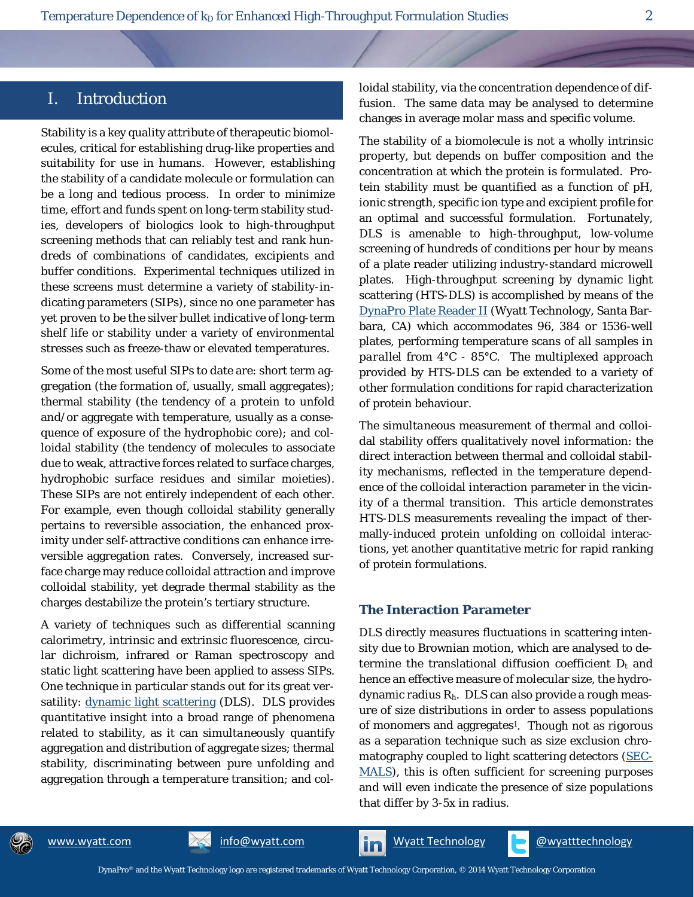### I. Introduction

Stability is a key quality attribute of therapeutic biomolecules, critical for establishing drug-like properties and suitability for use in humans. However, establishing the stability of a candidate molecule or formulation can be a long and tedious process. In order to minimize time, effort and funds spent on long-term stability studies, developers of biologics look to high-throughput screening methods that can reliably test and rank hundreds of combinations of candidates, excipients and buffer conditions. Experimental techniques utilized in these screens must determine a variety of stability-indicating parameters (SIPs), since no one parameter has yet proven to be the silver bullet indicative of long-term shelf life or stability under a variety of environmental stresses such as freeze-thaw or elevated temperatures.

Some of the most useful SIPs to date are: short term aggregation (the formation of, usually, small aggregates); thermal stability (the tendency of a protein to unfold and/or aggregate with temperature, usually as a consequence of exposure of the hydrophobic core); and colloidal stability (the tendency of molecules to associate due to weak, attractive forces related to surface charges, hydrophobic surface residues and similar moieties). These SIPs are not entirely independent of each other. For example, even though colloidal stability generally pertains to reversible association, the enhanced proximity under self-attractive conditions can enhance irreversible aggregation rates. Conversely, increased surface charge may reduce colloidal attraction and improve colloidal stability, yet degrade thermal stability as the charges destabilize the protein's tertiary structure.

A variety of techniques such as differential scanning calorimetry, intrinsic and extrinsic fluorescence, circular dichroism, infrared or Raman spectroscopy and static light scattering have been applied to assess SIPs. One technique in particular stands out for its great versatility: [dynamic light scattering](http://www.wyatt.com/DLS) (DLS). DLS provides quantitative insight into a broad range of phenomena related to stability, as it can *simultaneously* quantify aggregation and distribution of aggregate sizes; thermal stability, discriminating between pure unfolding and aggregation through a temperature transition; and colloidal stability, via the concentration dependence of diffusion. The same data may be analysed to determine changes in average molar mass and specific volume.

The stability of a biomolecule is not a wholly intrinsic property, but depends on buffer composition and the concentration at which the protein is formulated. Protein stability must be quantified as a function of pH, ionic strength, specific ion type and excipient profile for an optimal and successful formulation. Fortunately, DLS is amenable to high-throughput, low-volume screening of hundreds of conditions per hour by means of a plate reader utilizing industry-standard microwell plates. High-throughput screening by dynamic light scattering (HTS-DLS) is accomplished by means of the [DynaPro Plate Reader II](http://www.wyatt.com/DynaPro) (Wyatt Technology, Santa Barbara, CA) which accommodates 96, 384 or 1536-well plates, performing temperature scans of all samples *in parallel* from 4°C - 85°C. The multiplexed approach provided by HTS-DLS can be extended to a variety of other formulation conditions for rapid characterization of protein behaviour.

The *simultaneous* measurement of thermal and colloidal stability offers qualitatively novel information: the direct interaction between thermal and colloidal stability mechanisms, reflected in the temperature dependence of the colloidal interaction parameter in the vicinity of a thermal transition. This article demonstrates HTS-DLS measurements revealing the impact of thermally-induced protein unfolding on colloidal interactions, yet another quantitative metric for rapid ranking of protein formulations.

#### **The Interaction Parameter**

DLS directly measures fluctuations in scattering intensity due to Brownian motion, which are analysed to determine the translational diffusion coefficient *Dt* and hence an effective measure of molecular size, the hydrodynamic radius *Rh*. DLS can also provide a rough measure of size distributions in order to assess populations of monomers and aggregates<sup>1</sup>. Though not as rigorous as a separation technique such as size exclusion chromatography coupled to light scattering detectors [\(SEC-](http://www.wyatt.com/SEC-MALS)[MALS\)](http://www.wyatt.com/SEC-MALS), this is often sufficient for screening purposes and will even indicate the presence of size populations that differ by 3-5x in radius.



[www.wyatt.com](http://www.wyatt.com/) [info@wyatt.com](mailto:info@wyatt.com?subject=re:%20Heparin%20mass-charge%20application%20note) **info@wyatt.com** [Wyatt Technology](http://www.linkedin.com/company/wyatt-technology) **[@wyatttechnology](https://twitter.com/WyattTechnology)**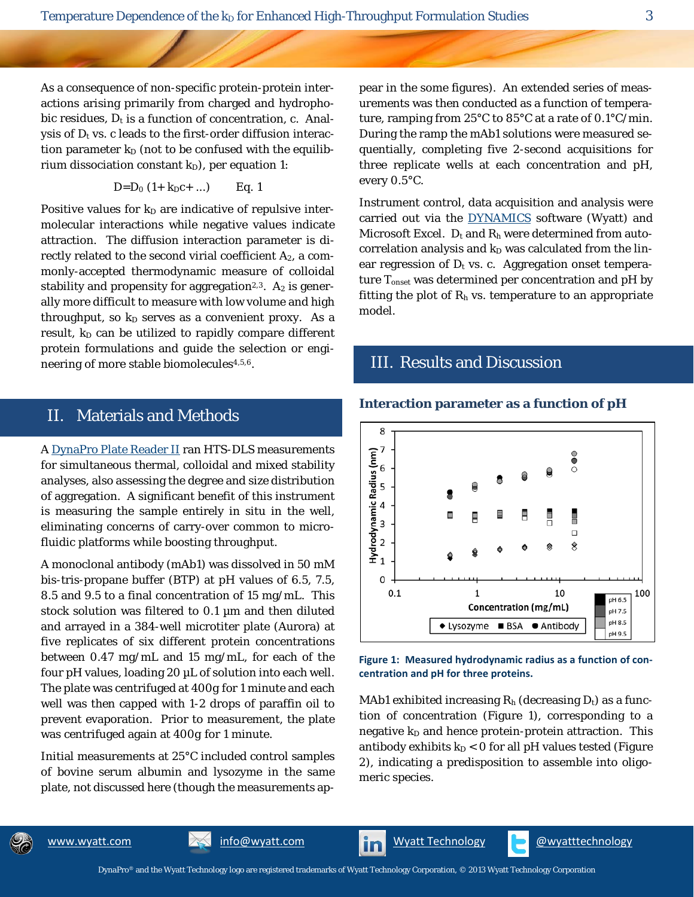As a consequence of non-specific protein-protein interactions arising primarily from charged and hydrophobic residues,  $D_t$  is a function of concentration, *c*. Analysis of  $D_t$  vs.  $c$  leads to the first-order diffusion interaction parameter  $k_D$  (not to be confused with the equilibrium dissociation constant  $k_D$ ), per equation 1:

$$
D = D_0 (1 + k_D c + ...)
$$
 Eq. 1

Positive values for  $k_D$  are indicative of repulsive intermolecular interactions while negative values indicate attraction. The diffusion interaction parameter is directly related to the second virial coefficient *A*2, a commonly-accepted thermodynamic measure of colloidal stability and propensity for aggregation<sup>2,3</sup>.  $A_2$  is generally more difficult to measure with low volume and high throughput, so  $k_D$  serves as a convenient proxy. As a result,  $k_D$  can be utilized to rapidly compare different protein formulations and guide the selection or engineering of more stable biomolecules4,5,6.

## II. Materials and Methods

A [DynaPro Plate Reader II](http://www.wyatt.com/DynaPro) ran HTS-DLS measurements for simultaneous thermal, colloidal and mixed stability analyses, also assessing the degree and size distribution of aggregation. A significant benefit of this instrument is measuring the sample entirely *in situ* in the well, eliminating concerns of carry-over common to microfluidic platforms while boosting throughput.

A monoclonal antibody (mAb1) was dissolved in 50 mM bis-tris-propane buffer (BTP) at pH values of 6.5, 7.5, 8.5 and 9.5 to a final concentration of 15 mg/mL. This stock solution was filtered to 0.1 µm and then diluted and arrayed in a 384-well microtiter plate (Aurora) at five replicates of six different protein concentrations between 0.47 mg/mL and 15 mg/mL, for each of the four pH values, loading 20 µL of solution into each well. The plate was centrifuged at 400*g* for 1 minute and each well was then capped with 1-2 drops of paraffin oil to prevent evaporation. Prior to measurement, the plate was centrifuged again at 400*g* for 1 minute.

Initial measurements at 25°C included control samples of bovine serum albumin and lysozyme in the same plate, not discussed here (though the measurements appear in the some figures). An extended series of measurements was then conducted as a function of temperature, ramping from 25°C to 85°C at a rate of 0.1°C/min. During the ramp the mAb1 solutions were measured sequentially, completing five 2-second acquisitions for three replicate wells at each concentration and pH, every 0.5°C.

Instrument control, data acquisition and analysis were carried out via the [DYNAMICS](http://www.wyatt.com/DYNAMICS) software (Wyatt) and Microsoft Excel. *D*<sub>t</sub> and *R*<sub>h</sub> were determined from autocorrelation analysis and  $k_D$  was calculated from the linear regression of  $D_t$  vs.  $c$ . Aggregation onset temperature  $T_{\text{onset}}$  was determined per concentration and pH by fitting the plot of  $R_h$  vs. temperature to an appropriate model.

### III. Results and Discussion

**Interaction parameter as a function of pH**



#### **Figure 1: Measured hydrodynamic radius as a function of concentration and pH for three proteins.**

MAb1 exhibited increasing  $R_h$  (decreasing  $D_t$ ) as a function of concentration (Figure 1), corresponding to a negative  $k_D$  and hence protein-protein attraction. This antibody exhibits  $k_D < 0$  for all pH values tested (Figure 2), indicating a predisposition to assemble into oligomeric species.

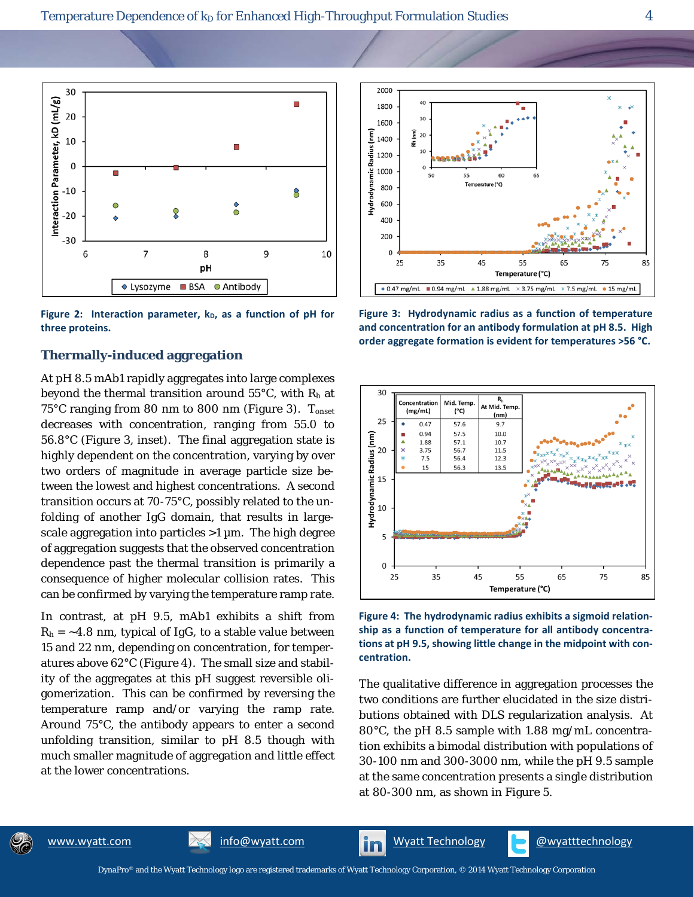

Figure 2: Interaction parameter, k<sub>D</sub>, as a function of pH for **three proteins.**

#### **Thermally-induced aggregation**

At pH 8.5 mAb1 rapidly aggregates into large complexes beyond the thermal transition around 55°C, with *Rh* at 75°C ranging from 80 nm to 800 nm (Figure 3). *T*onset decreases with concentration, ranging from 55.0 to 56.8°C (Figure 3, inset). The final aggregation state is highly dependent on the concentration, varying by over two orders of magnitude in average particle size between the lowest and highest concentrations. A second transition occurs at 70-75°C, possibly related to the unfolding of another IgG domain, that results in largescale aggregation into particles  $>1$   $\mu$ m. The high degree of aggregation suggests that the observed concentration dependence past the thermal transition is primarily a consequence of higher molecular collision rates. This can be confirmed by varying the temperature ramp rate.

In contrast, at pH 9.5, mAb1 exhibits a shift from  $R_h$  =  $\sim$ 4.8 nm, typical of IgG, to a stable value between 15 and 22 nm, depending on concentration, for temperatures above 62°C (Figure 4). The small size and stability of the aggregates at this pH suggest reversible oligomerization. This can be confirmed by reversing the temperature ramp and/or varying the ramp rate. Around 75°C, the antibody appears to enter a second unfolding transition, similar to pH 8.5 though with much smaller magnitude of aggregation and little effect at the lower concentrations.



**Figure 3: Hydrodynamic radius as a function of temperature and concentration for an antibody formulation at pH 8.5. High order aggregate formation is evident for temperatures >56 °C.**



**Figure 4: The hydrodynamic radius exhibits a sigmoid relationship as a function of temperature for all antibody concentrations at pH 9.5, showing little change in the midpoint with concentration.** 

The qualitative difference in aggregation processes the two conditions are further elucidated in the size distributions obtained with DLS regularization analysis. At 80°C, the pH 8.5 sample with 1.88 mg/mL concentration exhibits a bimodal distribution with populations of 30-100 nm and 300-3000 nm, while the pH 9.5 sample at the same concentration presents a single distribution at 80-300 nm, as shown in Figure 5.



[www.wyatt.com](http://www.wyatt.com/) **[info@wyatt.com](mailto:info@wyatt.com?subject=re:%20Heparin%20mass-charge%20application%20note) info@wyatt.com** Nyatt Technology **[@wyatttechnology](https://twitter.com/WyattTechnology)**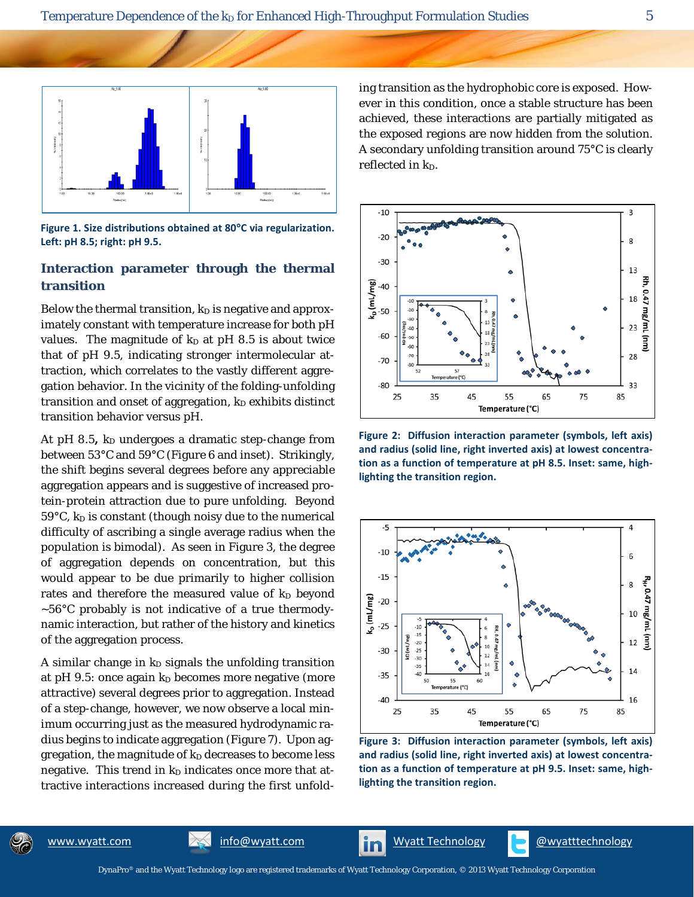

**Figure 1. Size distributions obtained at 80**°**C via regularization. Left: pH 8.5; right: pH 9.5.**

#### **Interaction parameter through the thermal transition**

Below the thermal transition,  $k_D$  is negative and approximately constant with temperature increase for both pH values. The magnitude of  $k_D$  at pH 8.5 is about twice that of pH 9.5, indicating stronger intermolecular attraction, which correlates to the vastly different aggregation behavior. In the vicinity of the folding-unfolding transition and onset of aggregation,  $k_D$  exhibits distinct transition behavior versus pH.

At pH 8.5,  $k_D$  undergoes a dramatic step-change from between 53°C and 59°C (Figure 6 and inset). Strikingly, the shift begins several degrees before any appreciable aggregation appears and is suggestive of increased protein-protein attraction due to pure unfolding. Beyond 59°C,  $k_D$  is constant (though noisy due to the numerical difficulty of ascribing a single average radius when the population is bimodal). As seen in Figure 3, the degree of aggregation depends on concentration, but this would appear to be due primarily to higher collision rates and therefore the measured value of  $k_D$  beyond  $~56^{\circ}$ C probably is not indicative of a true thermodynamic interaction, but rather of the history and kinetics of the aggregation process.

A similar change in  $k_D$  signals the unfolding transition at pH 9.5: once again  $k_D$  becomes more negative (more attractive) several degrees prior to aggregation. Instead of a step-change, however, we now observe a local *minimum* occurring just as the measured hydrodynamic radius begins to indicate aggregation (Figure 7). Upon aggregation, the magnitude of  $k<sub>D</sub>$  decreases to become less negative. This trend in  $k_D$  indicates once more that attractive interactions increased during the first unfolding transition as the hydrophobic core is exposed. However in this condition, once a stable structure has been achieved, these interactions are partially mitigated as the exposed regions are now hidden from the solution. A secondary unfolding transition around 75°C is clearly reflected in  $k_D$ .



**Figure 2: Diffusion interaction parameter (symbols, left axis) and radius (solid line, right inverted axis) at lowest concentration as a function of temperature at pH 8.5. Inset: same, highlighting the transition region.**



**Figure 3: Diffusion interaction parameter (symbols, left axis) and radius (solid line, right inverted axis) at lowest concentration as a function of temperature at pH 9.5. Inset: same, highlighting the transition region.**



[www.wyatt.com](http://www.wyatt.com/) [info@wyatt.com](mailto:info@wyatt.com?subject=re:%20Heparin%20mass-charge%20application%20note) **info@wyatt.com** [Wyatt Technology](http://www.linkedin.com/company/wyatt-technology) **[@wyatttechnology](https://twitter.com/WyattTechnology)**